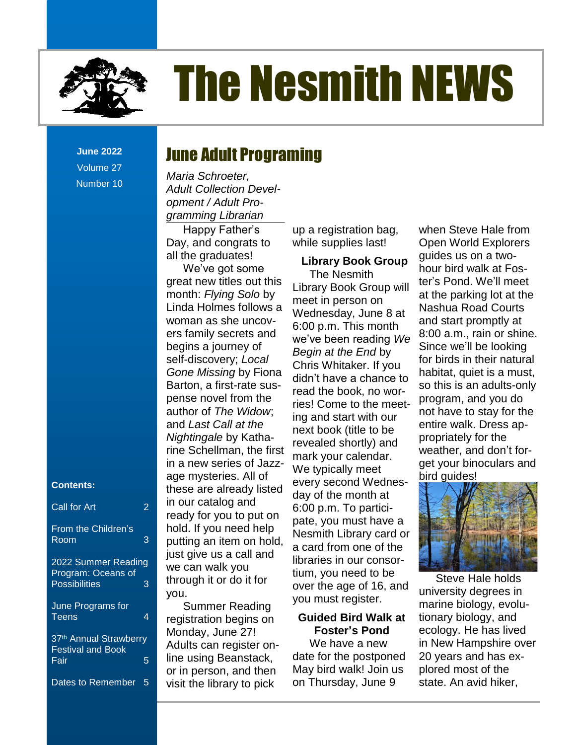

**June 2022** Volume 27 Number 10

#### **Contents:**

| Call for Art                                                      | 2 |
|-------------------------------------------------------------------|---|
| From the Children's<br>Room                                       | 3 |
| 2022 Summer Reading<br>Program: Oceans of<br><b>Possibilities</b> | 3 |
| June Programs for<br><b>Teens</b>                                 | 4 |
| 37 <sup>th</sup> Annual Strawberry<br><b>Festival and Book</b>    |   |
| Fair                                                              | 5 |
| Dates to Remember                                                 | 5 |

### June Adult Programing

*Maria Schroeter, Adult Collection Development / Adult Programming Librarian*

Happy Father's Day, and congrats to all the graduates!

We've got some great new titles out this month: *Flying Solo* by Linda Holmes follows a woman as she uncovers family secrets and begins a journey of self-discovery; *Local Gone Missing* by Fiona Barton, a first-rate suspense novel from the author of *The Widow*; and *Last Call at the Nightingale* by Katharine Schellman, the first in a new series of Jazzage mysteries. All of these are already listed in our catalog and ready for you to put on hold. If you need help putting an item on hold, just give us a call and we can walk you through it or do it for you.

Summer Reading registration begins on Monday, June 27! Adults can register online using Beanstack, or in person, and then visit the library to pick

up a registration bag, while supplies last!

### **Library Book Group** The Nesmith

Library Book Group will meet in person on Wednesday, June 8 at 6:00 p.m. This month we've been reading *We Begin at the End* by Chris Whitaker. If you didn't have a chance to read the book, no worries! Come to the meeting and start with our next book (title to be revealed shortly) and mark your calendar. We typically meet every second Wednesday of the month at 6:00 p.m. To participate, you must have a Nesmith Library card or a card from one of the libraries in our consortium, you need to be over the age of 16, and you must register.

### **Guided Bird Walk at Foster's Pond**

We have a new date for the postponed May bird walk! Join us on Thursday, June 9

when Steve Hale from Open World Explorers guides us on a twohour bird walk at Foster's Pond. We'll meet at the parking lot at the Nashua Road Courts and start promptly at 8:00 a.m., rain or shine. Since we'll be looking for birds in their natural habitat, quiet is a must, so this is an adults-only program, and you do not have to stay for the entire walk. Dress appropriately for the weather, and don't forget your binoculars and bird guides!



Steve Hale holds university degrees in marine biology, evolutionary biology, and ecology. He has lived in New Hampshire over 20 years and has explored most of the state. An avid hiker,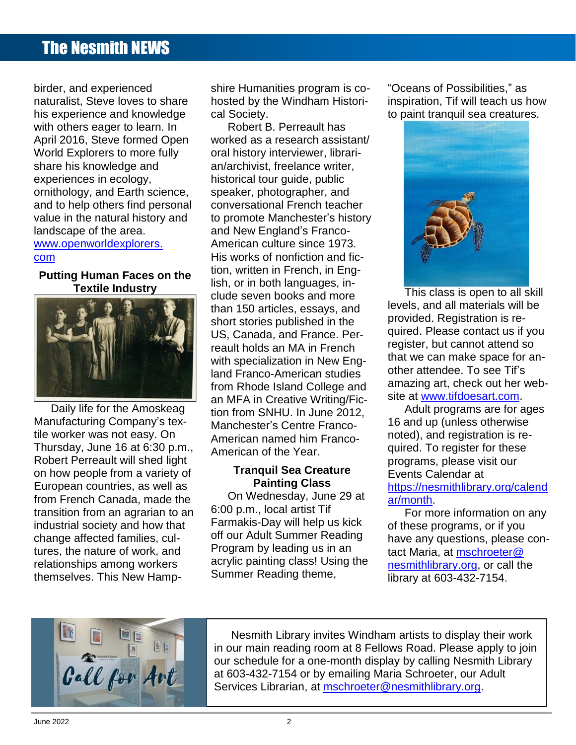birder, and experienced naturalist, Steve loves to share his experience and knowledge with others eager to learn. In April 2016, Steve formed Open World Explorers to more fully share his knowledge and experiences in ecology, ornithology, and Earth science, and to help others find personal value in the natural history and landscape of the area. www.openworldexplorers. com

### **Putting Human Faces on the Textile Industry**



Daily life for the Amoskeag Manufacturing Company's textile worker was not easy. On Thursday, June 16 at 6:30 p.m., Robert Perreault will shed light on how people from a variety of European countries, as well as from French Canada, made the transition from an agrarian to an industrial society and how that change affected families, cultures, the nature of work, and relationships among workers themselves. This New Hampshire Humanities program is cohosted by the Windham Historical Society.

Robert B. Perreault has worked as a research assistant/ oral history interviewer, librarian/archivist, freelance writer, historical tour guide, public speaker, photographer, and conversational French teacher to promote Manchester's history and New England's Franco-American culture since 1973. His works of nonfiction and fiction, written in French, in English, or in both languages, include seven books and more than 150 articles, essays, and short stories published in the US, Canada, and France. Perreault holds an MA in French with specialization in New England Franco-American studies from Rhode Island College and an MFA in Creative Writing/Fiction from SNHU. In June 2012, Manchester's Centre Franco-American named him Franco-American of the Year.

### **Tranquil Sea Creature Painting Class**

On Wednesday, June 29 at 6:00 p.m., local artist Tif Farmakis-Day will help us kick off our Adult Summer Reading Program by leading us in an acrylic painting class! Using the Summer Reading theme,

"Oceans of Possibilities," as inspiration, Tif will teach us how to paint tranquil sea creatures.



This class is open to all skill levels, and all materials will be provided. Registration is required. Please contact us if you register, but cannot attend so that we can make space for another attendee. To see Tif's amazing art, check out her website at [www.tifdoesart.com.](http://www.tifdoesart.com/)

Adult programs are for ages 16 and up (unless otherwise noted), and registration is required. To register for these programs, please visit our Events Calendar at [https://nesmithlibrary.org/calend](https://nesmithlibrary.org/calendar/month) [ar/month.](https://nesmithlibrary.org/calendar/month)

For more information on any of these programs, or if you have any questions, please contact Maria, at [mschroeter@](mailto:mschroeter@nesmithlibrary.org) [nesmithlibrary.org,](mailto:mschroeter@nesmithlibrary.org) or call the library at 603-432-7154.



Nesmith Library invites Windham artists to display their work in our main reading room at 8 Fellows Road. Please apply to join our schedule for a one-month display by calling Nesmith Library at 603-432-7154 or by emailing Maria Schroeter, our Adult Services Librarian, at [mschroeter@nesmithlibrary.org.](mailto:mschroeter@nesmithlibrary.org)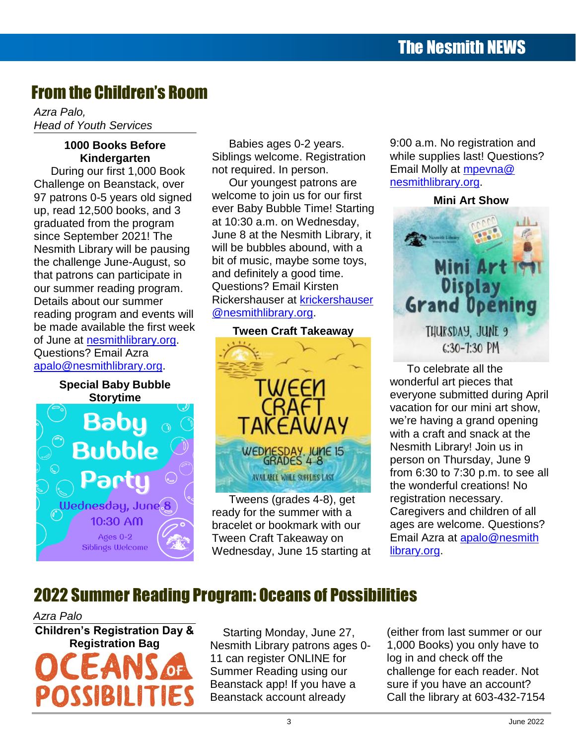## From the Children's Room

*Azra Palo, Head of Youth Services*

### **1000 Books Before Kindergarten**

During our first 1,000 Book Challenge on Beanstack, over 97 patrons 0-5 years old signed up, read 12,500 books, and 3 graduated from the program since September 2021! The Nesmith Library will be pausing the challenge June-August, so that patrons can participate in our summer reading program. Details about our summer reading program and events will be made available the first week of June at [nesmithlibrary.org.](https://www.nesmithlibrary.org/) Questions? Email Azra [apalo@nesmithlibrary.org.](mailto:apalo@nesmithlibrary.org)

**Special Baby Bubble Storytime** Baby **Bubble** ednesday, June.8  $10:30$  AM Ages  $0-2$ Siblings Welcome

Babies ages 0-2 years. Siblings welcome. Registration not required. In person.

Our youngest patrons are welcome to join us for our first ever Baby Bubble Time! Starting at 10:30 a.m. on Wednesday, June 8 at the Nesmith Library, it will be bubbles abound, with a bit of music, maybe some toys, and definitely a good time. Questions? Email Kirsten Rickershauser at [krickershauser](mailto:krickershauser@nesmithlibrary.org) [@nesmithlibrary.org.](mailto:krickershauser@nesmithlibrary.org)



Tweens (grades 4-8), get ready for the summer with a bracelet or bookmark with our Tween Craft Takeaway on Wednesday, June 15 starting at 9:00 a.m. No registration and while supplies last! Questions? Email Molly at [mpevna@](mailto:mpevna@nesmithlibrary.org) [nesmithlibrary.org.](mailto:mpevna@nesmithlibrary.org)

## **Mini Art Show** ni Art I<del>e</del> **Grand Opening** THURSDAY, JUNE 9  $C:30-7:30$  PM

To celebrate all the wonderful art pieces that everyone submitted during April vacation for our mini art show, we're having a grand opening with a craft and snack at the Nesmith Library! Join us in person on Thursday, June 9 from 6:30 to 7:30 p.m. to see all the wonderful creations! No registration necessary. Caregivers and children of all ages are welcome. Questions? Email Azra at [apalo@nesmith](mailto:apalo@nesmithlibrary.org) [library.org.](mailto:apalo@nesmithlibrary.org)

## 2022 Summer Reading Program: Oceans of Possibilities

*Azra Palo*

**Children's Registration Day & Registration Bag** POSSIBILI

Starting Monday, June 27, Nesmith Library patrons ages 0- 11 can register ONLINE for Summer Reading using our Beanstack app! If you have a Beanstack account already

(either from last summer or our 1,000 Books) you only have to log in and check off the challenge for each reader. Not sure if you have an account? Call the library at 603-432-7154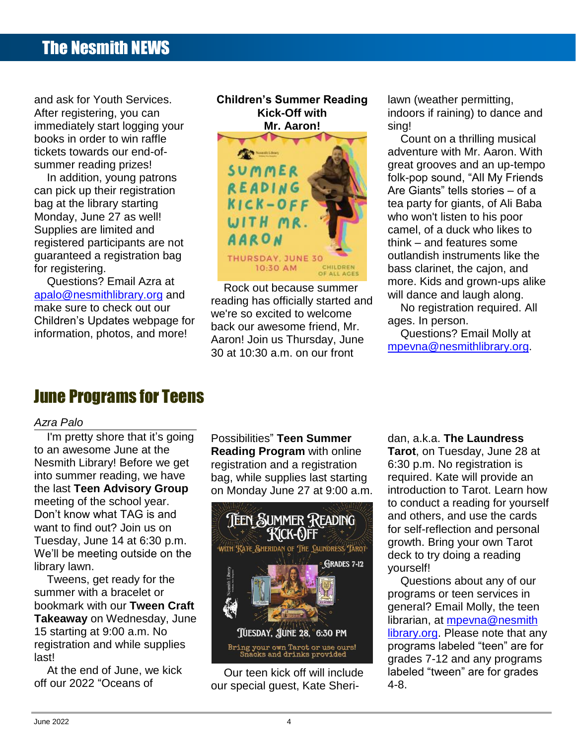and ask for Youth Services. After registering, you can immediately start logging your books in order to win raffle tickets towards our end-ofsummer reading prizes!

In addition, young patrons can pick up their registration bag at the library starting Monday, June 27 as well! Supplies are limited and registered participants are not guaranteed a registration bag for registering.

Questions? Email Azra at [apalo@nesmithlibrary.org](mailto:apalo@nesmithlibrary.org) and make sure to check out our Children's Updates webpage for information, photos, and more!

### **Children's Summer Reading Kick-Off with Mr. Aaron!**



Rock out because summer reading has officially started and we're so excited to welcome back our awesome friend, Mr. Aaron! Join us Thursday, June 30 at 10:30 a.m. on our front

lawn (weather permitting, indoors if raining) to dance and sing!

Count on a thrilling musical adventure with Mr. Aaron. With great grooves and an up-tempo folk-pop sound, "All My Friends Are Giants" tells stories – of a tea party for giants, of Ali Baba who won't listen to his poor camel, of a duck who likes to think – and features some outlandish instruments like the bass clarinet, the cajon, and more. Kids and grown-ups alike will dance and laugh along.

No registration required. All ages. In person.

Questions? Email Molly at [mpevna@nesmithlibrary.org.](mailto:mpevna@nesmithlibrary.org)

## June Programs for Teens

### *Azra Palo*

I'm pretty shore that it's going to an awesome June at the Nesmith Library! Before we get into summer reading, we have the last **Teen Advisory Group** meeting of the school year. Don't know what TAG is and want to find out? Join us on Tuesday, June 14 at 6:30 p.m. We'll be meeting outside on the library lawn.

Tweens, get ready for the summer with a bracelet or bookmark with our **Tween Craft Takeaway** on Wednesday, June 15 starting at 9:00 a.m. No registration and while supplies last!

At the end of June, we kick off our 2022 "Oceans of

Possibilities" **Teen Summer Reading Program** with online registration and a registration bag, while supplies last starting on Monday June 27 at 9:00 a.m.



Our teen kick off will include our special guest, Kate Sheridan, a.k.a. **The Laundress Tarot**, on Tuesday, June 28 at 6:30 p.m. No registration is required. Kate will provide an introduction to Tarot. Learn how to conduct a reading for yourself and others, and use the cards for self-reflection and personal growth. Bring your own Tarot deck to try doing a reading yourself!

Questions about any of our programs or teen services in general? Email Molly, the teen librarian, at [mpevna@nesmith](mailto:mpevna@nesmithlibrary.org) [library.org.](mailto:mpevna@nesmithlibrary.org) Please note that any programs labeled "teen" are for grades 7-12 and any programs labeled "tween" are for grades 4-8.